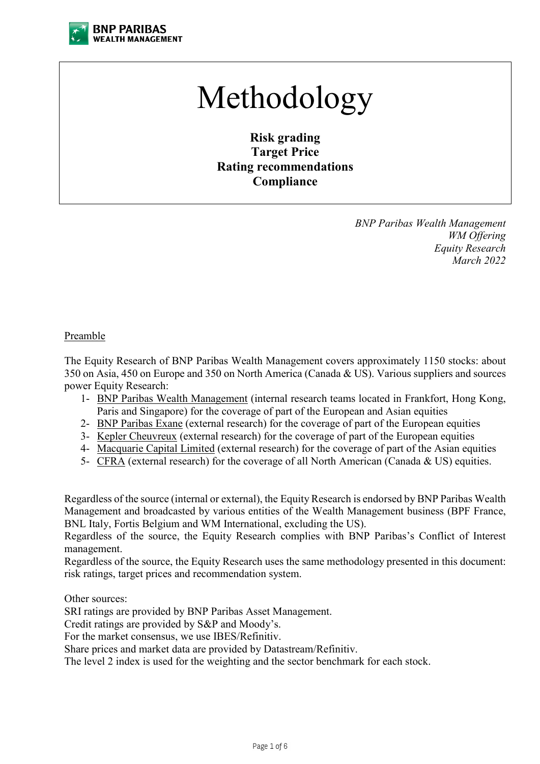

# Methodology

**Risk grading Target Price Rating recommendations Compliance**

> *BNP Paribas Wealth Management WM Offering Equity Research March 2022*

#### Preamble

The Equity Research of BNP Paribas Wealth Management covers approximately 1150 stocks: about 350 on Asia, 450 on Europe and 350 on North America (Canada & US). Various suppliers and sources power Equity Research:

- 1- BNP Paribas Wealth Management (internal research teams located in Frankfort, Hong Kong, Paris and Singapore) for the coverage of part of the European and Asian equities
- 2- BNP Paribas Exane (external research) for the coverage of part of the European equities
- 3- Kepler Cheuvreux (external research) for the coverage of part of the European equities
- 4- Macquarie Capital Limited (external research) for the coverage of part of the Asian equities
- 5- CFRA (external research) for the coverage of all North American (Canada & US) equities.

Regardless of the source (internal or external), the Equity Research is endorsed by BNP Paribas Wealth Management and broadcasted by various entities of the Wealth Management business (BPF France, BNL Italy, Fortis Belgium and WM International, excluding the US).

Regardless of the source, the Equity Research complies with BNP Paribas's Conflict of Interest management.

Regardless of the source, the Equity Research uses the same methodology presented in this document: risk ratings, target prices and recommendation system.

Other sources:

SRI ratings are provided by BNP Paribas Asset Management.

Credit ratings are provided by S&P and Moody's.

For the market consensus, we use IBES/Refinitiv.

Share prices and market data are provided by Datastream/Refinitiv.

The level 2 index is used for the weighting and the sector benchmark for each stock.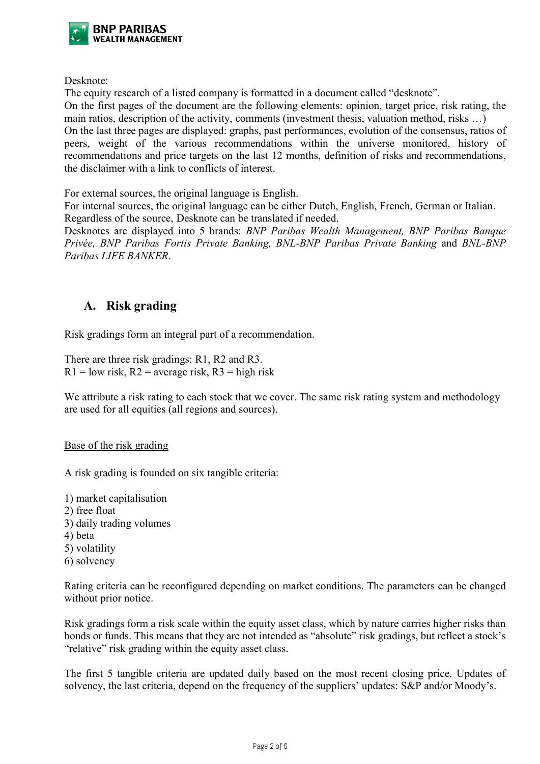

Desknote:

The equity research of a listed company is formatted in a document called "desknote". On the first pages of the document are the following elements: opinion, target price, risk rating, the main ratios, description of the activity, comments (investment thesis, valuation method, risks …) On the last three pages are displayed: graphs, past performances, evolution of the consensus, ratios of peers, weight of the various recommendations within the universe monitored, history of recommendations and price targets on the last 12 months, definition of risks and recommendations, the disclaimer with a link to conflicts of interest.

For external sources, the original language is English.

For internal sources, the original language can be either Dutch, English, French, German or Italian. Regardless of the source, Desknote can be translated if needed.

Desknotes are displayed into 5 brands: *BNP Paribas Wealth Management, BNP Paribas Banque Privée, BNP Paribas Fortis Private Banking, BNL-BNP Paribas Private Banking* and *BNL-BNP Paribas LIFE BANKER*.

## **A. Risk grading**

Risk gradings form an integral part of a recommendation.

There are three risk gradings: R1, R2 and R3.  $R1 = low$  risk,  $R2 = average$  risk,  $R3 = high$  risk

We attribute a risk rating to each stock that we cover. The same risk rating system and methodology are used for all equities (all regions and sources).

Base of the risk grading

A risk grading is founded on six tangible criteria:

1) market capitalisation 2) free float 3) daily trading volumes 4) beta 5) volatility

6) solvency

Rating criteria can be reconfigured depending on market conditions. The parameters can be changed without prior notice.

Risk gradings form a risk scale within the equity asset class, which by nature carries higher risks than bonds or funds. This means that they are not intended as "absolute" risk gradings, but reflect a stock's "relative" risk grading within the equity asset class.

The first 5 tangible criteria are updated daily based on the most recent closing price. Updates of solvency, the last criteria, depend on the frequency of the suppliers' updates: S&P and/or Moody's.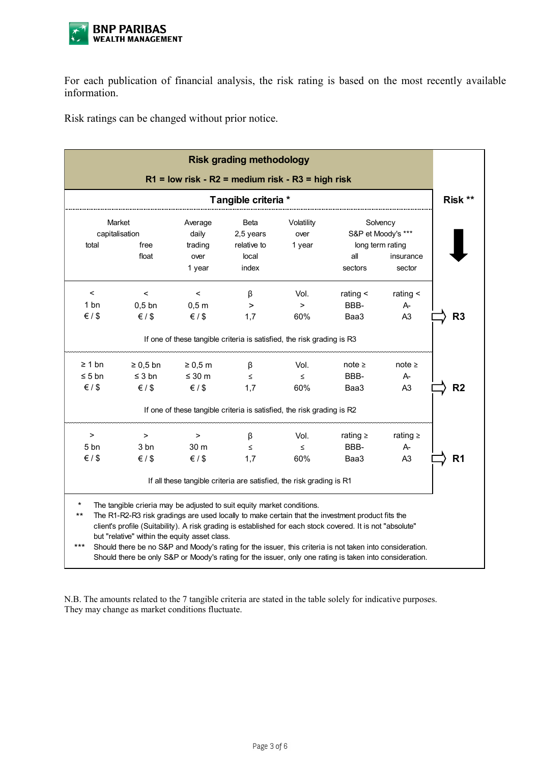

For each publication of financial analysis, the risk rating is based on the most recently available information.

Risk ratings can be changed without prior notice.

|                                                     |                                                                                                                                                                                                                                                                                                                                                                                                                                                                                                                                                                  |                                           | <b>Risk grading methodology</b>                                        |                       |                                |                                         |                |
|-----------------------------------------------------|------------------------------------------------------------------------------------------------------------------------------------------------------------------------------------------------------------------------------------------------------------------------------------------------------------------------------------------------------------------------------------------------------------------------------------------------------------------------------------------------------------------------------------------------------------------|-------------------------------------------|------------------------------------------------------------------------|-----------------------|--------------------------------|-----------------------------------------|----------------|
| $R1$ = low risk - R2 = medium risk - R3 = high risk |                                                                                                                                                                                                                                                                                                                                                                                                                                                                                                                                                                  |                                           |                                                                        |                       |                                | Risk **                                 |                |
| Tangible criteria *                                 |                                                                                                                                                                                                                                                                                                                                                                                                                                                                                                                                                                  |                                           |                                                                        |                       |                                |                                         |                |
| Market<br>capitalisation                            |                                                                                                                                                                                                                                                                                                                                                                                                                                                                                                                                                                  | Average<br>daily                          | <b>Beta</b><br>2,5 years                                               | Volatility<br>over    | Solvency<br>S&P et Moody's *** |                                         |                |
| total                                               | free<br>float                                                                                                                                                                                                                                                                                                                                                                                                                                                                                                                                                    | trading<br>over<br>1 year                 | relative to<br>local<br>index                                          | 1 year                | all<br>sectors                 | long term rating<br>insurance<br>sector |                |
| $\,<$<br>1 bn<br>$\xi$ / \$                         | $\,<$<br>$0,5$ bn<br>$\xi$ / \$                                                                                                                                                                                                                                                                                                                                                                                                                                                                                                                                  | $\,<\,$<br>$0,5$ m<br>$\xi$ / \$          | β<br>$\, > \,$<br>1,7                                                  | Vol.<br>$\,$<br>60%   | rating $\leq$<br>BBB-<br>Baa3  | rating $\leq$<br>A-<br>A <sub>3</sub>   | R3             |
|                                                     |                                                                                                                                                                                                                                                                                                                                                                                                                                                                                                                                                                  |                                           | If one of these tangible criteria is satisfied, the risk grading is R3 |                       |                                |                                         |                |
| $\geq 1$ bn<br>$\leq 5$ bn<br>$\xi$ / \$            | $\geq 0.5$ bn<br>$\leq$ 3 bn<br>$\xi$ / \$                                                                                                                                                                                                                                                                                                                                                                                                                                                                                                                       | $\geq 0.5$ m<br>$\leq 30$ m<br>$\xi$ / \$ | β<br>$\leq$<br>1,7                                                     | Vol.<br>$\leq$<br>60% | note $\geq$<br>BBB-<br>Baa3    | note $\geq$<br>$A-$<br>A <sub>3</sub>   | R <sub>2</sub> |
|                                                     |                                                                                                                                                                                                                                                                                                                                                                                                                                                                                                                                                                  |                                           | If one of these tangible criteria is satisfied, the risk grading is R2 |                       |                                |                                         |                |
| ><br>5 bn<br>$\xi$ / \$                             | $\,>\,$<br>3 bn<br>$\xi$ / \$                                                                                                                                                                                                                                                                                                                                                                                                                                                                                                                                    | $\, > \,$<br>30 m<br>$\xi$ / \$           | β<br>$\leq$<br>1,7                                                     | Vol.<br>$\leq$<br>60% | rating $\geq$<br>BBB-<br>Baa3  | rating $\geq$<br>A-<br>A <sub>3</sub>   | R <sub>1</sub> |
|                                                     |                                                                                                                                                                                                                                                                                                                                                                                                                                                                                                                                                                  |                                           | If all these tangible criteria are satisfied, the risk grading is R1   |                       |                                |                                         |                |
| $^\star$<br>$***$<br>$***$                          | The tangible crieria may be adjusted to suit equity market conditions.<br>The R1-R2-R3 risk gradings are used locally to make certain that the investment product fits the<br>client's profile (Suitability). A risk grading is established for each stock covered. It is not "absolute"<br>but "relative" within the equity asset class.<br>Should there be no S&P and Moody's rating for the issuer, this criteria is not taken into consideration.<br>Should there be only S&P or Moody's rating for the issuer, only one rating is taken into consideration. |                                           |                                                                        |                       |                                |                                         |                |

N.B. The amounts related to the 7 tangible criteria are stated in the table solely for indicative purposes. They may change as market conditions fluctuate.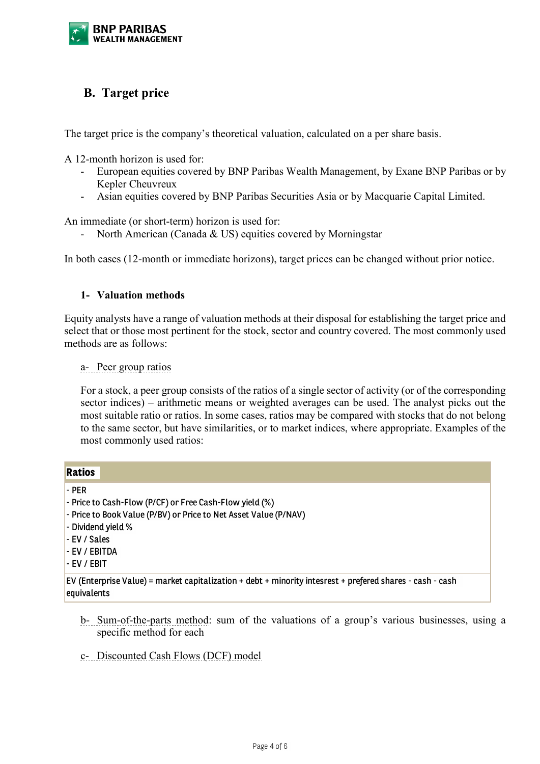

## **B. Target price**

The target price is the company's theoretical valuation, calculated on a per share basis.

A 12-month horizon is used for:

- European equities covered by BNP Paribas Wealth Management, by Exane BNP Paribas or by Kepler Cheuvreux
- Asian equities covered by BNP Paribas Securities Asia or by Macquarie Capital Limited.

An immediate (or short-term) horizon is used for:

North American (Canada & US) equities covered by Morningstar

In both cases (12-month or immediate horizons), target prices can be changed without prior notice.

#### **1- Valuation methods**

Equity analysts have a range of valuation methods at their disposal for establishing the target price and select that or those most pertinent for the stock, sector and country covered. The most commonly used methods are as follows:

a- Peer group ratios

For a stock, a peer group consists of the ratios of a single sector of activity (or of the corresponding sector indices) – arithmetic means or weighted averages can be used. The analyst picks out the most suitable ratio or ratios. In some cases, ratios may be compared with stocks that do not belong to the same sector, but have similarities, or to market indices, where appropriate. Examples of the most commonly used ratios:

| <b>Ratios</b>                                                                                                                                                                        |
|--------------------------------------------------------------------------------------------------------------------------------------------------------------------------------------|
| I - PER<br>$\vert$ - Price to Cash-Flow (P/CF) or Free Cash-Flow yield (%)<br>- Price to Book Value (P/BV) or Price to Net Asset Value (P/NAV)<br>- Dividend yield %<br>- EV / Sales |
| <b>EV / EBITDA</b><br>I - EV / EBIT<br>EV (Enterprise Value) = market capitalization + debt + minority intesrest + prefered shares - cash - cash<br>equivalents                      |

- b- Sum-of-the-parts method: sum of the valuations of a group's various businesses, using a specific method for each
- c- Discounted Cash Flows (DCF) model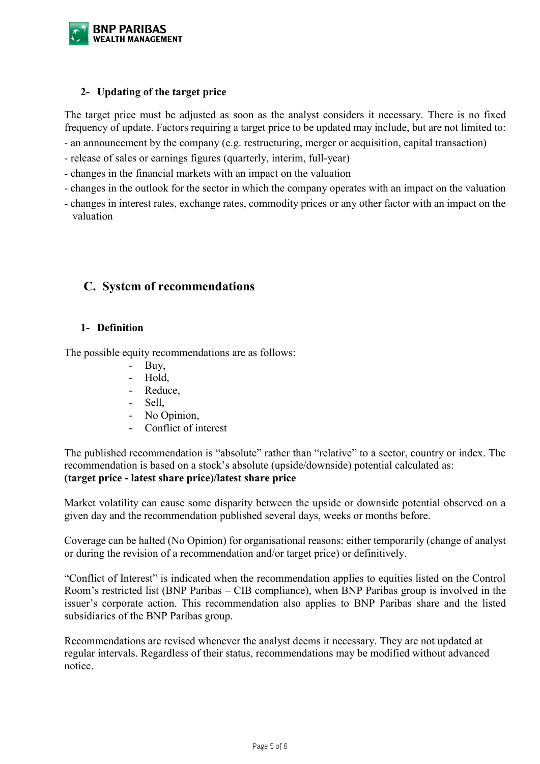

## **2- Updating of the target price**

The target price must be adjusted as soon as the analyst considers it necessary. There is no fixed frequency of update. Factors requiring a target price to be updated may include, but are not limited to:

- an announcement by the company (e.g. restructuring, merger or acquisition, capital transaction)
- release of sales or earnings figures (quarterly, interim, full-year)
- changes in the financial markets with an impact on the valuation
- changes in the outlook for the sector in which the company operates with an impact on the valuation
- changes in interest rates, exchange rates, commodity prices or any other factor with an impact on the valuation

## **C. System of recommendations**

#### **1- Definition**

The possible equity recommendations are as follows:

- Buy,
- Hold,
- Reduce,
- Sell.
- No Opinion,
- Conflict of interest

The published recommendation is "absolute" rather than "relative" to a sector, country or index. The recommendation is based on a stock's absolute (upside/downside) potential calculated as: **(target price - latest share price)/latest share price**

Market volatility can cause some disparity between the upside or downside potential observed on a given day and the recommendation published several days, weeks or months before.

Coverage can be halted (No Opinion) for organisational reasons: either temporarily (change of analyst or during the revision of a recommendation and/or target price) or definitively.

"Conflict of Interest" is indicated when the recommendation applies to equities listed on the Control Room's restricted list (BNP Paribas – CIB compliance), when BNP Paribas group is involved in the issuer's corporate action. This recommendation also applies to BNP Paribas share and the listed subsidiaries of the BNP Paribas group.

Recommendations are revised whenever the analyst deems it necessary. They are not updated at regular intervals. Regardless of their status, recommendations may be modified without advanced notice.